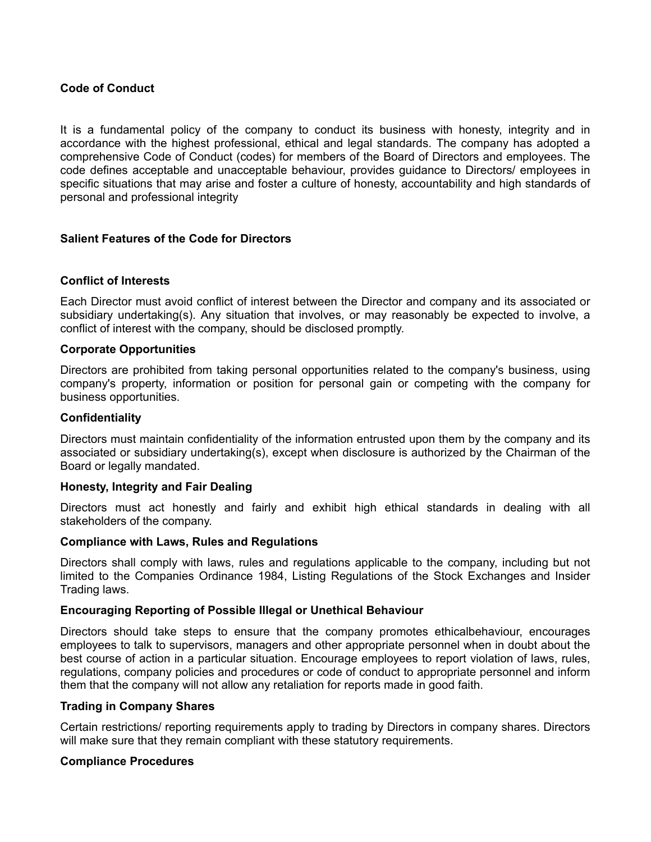# **Code of Conduct**

It is a fundamental policy of the company to conduct its business with honesty, integrity and in accordance with the highest professional, ethical and legal standards. The company has adopted a comprehensive Code of Conduct (codes) for members of the Board of Directors and employees. The code defines acceptable and unacceptable behaviour, provides guidance to Directors/ employees in specific situations that may arise and foster a culture of honesty, accountability and high standards of personal and professional integrity

## **Salient Features of the Code for Directors**

## **Conflict of Interests**

Each Director must avoid conflict of interest between the Director and company and its associated or subsidiary undertaking(s). Any situation that involves, or may reasonably be expected to involve, a conflict of interest with the company, should be disclosed promptly.

#### **Corporate Opportunities**

Directors are prohibited from taking personal opportunities related to the company's business, using company's property, information or position for personal gain or competing with the company for business opportunities.

### **Confidentiality**

Directors must maintain confidentiality of the information entrusted upon them by the company and its associated or subsidiary undertaking(s), except when disclosure is authorized by the Chairman of the Board or legally mandated.

#### **Honesty, Integrity and Fair Dealing**

Directors must act honestly and fairly and exhibit high ethical standards in dealing with all stakeholders of the company.

#### **Compliance with Laws, Rules and Regulations**

Directors shall comply with laws, rules and regulations applicable to the company, including but not limited to the Companies Ordinance 1984, Listing Regulations of the Stock Exchanges and Insider Trading laws.

#### **Encouraging Reporting of Possible Illegal or Unethical Behaviour**

Directors should take steps to ensure that the company promotes ethicalbehaviour, encourages employees to talk to supervisors, managers and other appropriate personnel when in doubt about the best course of action in a particular situation. Encourage employees to report violation of laws, rules, regulations, company policies and procedures or code of conduct to appropriate personnel and inform them that the company will not allow any retaliation for reports made in good faith.

#### **Trading in Company Shares**

Certain restrictions/ reporting requirements apply to trading by Directors in company shares. Directors will make sure that they remain compliant with these statutory requirements.

#### **Compliance Procedures**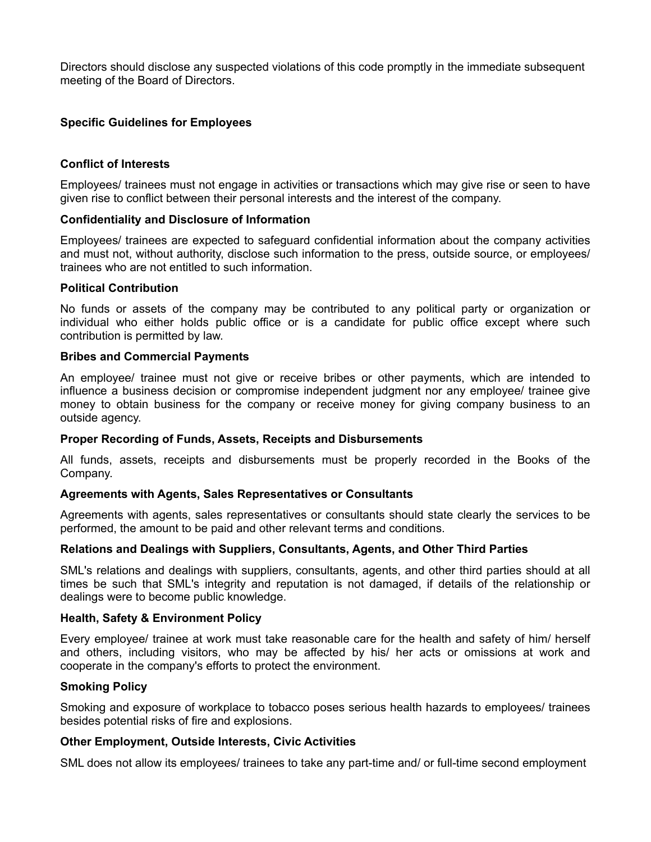Directors should disclose any suspected violations of this code promptly in the immediate subsequent meeting of the Board of Directors.

## **Specific Guidelines for Employees**

#### **Conflict of Interests**

Employees/ trainees must not engage in activities or transactions which may give rise or seen to have given rise to conflict between their personal interests and the interest of the company.

#### **Confidentiality and Disclosure of Information**

Employees/ trainees are expected to safeguard confidential information about the company activities and must not, without authority, disclose such information to the press, outside source, or employees/ trainees who are not entitled to such information.

## **Political Contribution**

No funds or assets of the company may be contributed to any political party or organization or individual who either holds public office or is a candidate for public office except where such contribution is permitted by law.

#### **Bribes and Commercial Payments**

An employee/ trainee must not give or receive bribes or other payments, which are intended to influence a business decision or compromise independent judgment nor any employee/ trainee give money to obtain business for the company or receive money for giving company business to an outside agency.

#### **Proper Recording of Funds, Assets, Receipts and Disbursements**

All funds, assets, receipts and disbursements must be properly recorded in the Books of the Company.

#### **Agreements with Agents, Sales Representatives or Consultants**

Agreements with agents, sales representatives or consultants should state clearly the services to be performed, the amount to be paid and other relevant terms and conditions.

### **Relations and Dealings with Suppliers, Consultants, Agents, and Other Third Parties**

SML's relations and dealings with suppliers, consultants, agents, and other third parties should at all times be such that SML's integrity and reputation is not damaged, if details of the relationship or dealings were to become public knowledge.

#### **Health, Safety & Environment Policy**

Every employee/ trainee at work must take reasonable care for the health and safety of him/ herself and others, including visitors, who may be affected by his/ her acts or omissions at work and cooperate in the company's efforts to protect the environment.

# **Smoking Policy**

Smoking and exposure of workplace to tobacco poses serious health hazards to employees/ trainees besides potential risks of fire and explosions.

#### **Other Employment, Outside Interests, Civic Activities**

SML does not allow its employees/ trainees to take any part-time and/ or full-time second employment